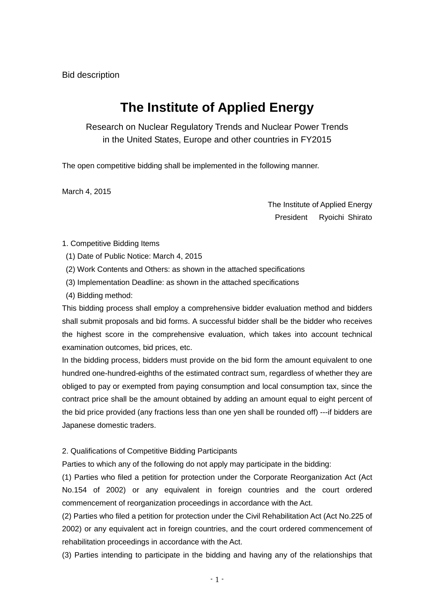# **The Institute of Applied Energy**

Research on Nuclear Regulatory Trends and Nuclear Power Trends in the United States, Europe and other countries in FY2015

The open competitive bidding shall be implemented in the following manner.

March 4, 2015

The Institute of Applied Energy President Ryoichi Shirato

### 1. Competitive Bidding Items

- (1) Date of Public Notice: March 4, 2015
- (2) Work Contents and Others: as shown in the attached specifications
- (3) Implementation Deadline: as shown in the attached specifications
- (4) Bidding method:

This bidding process shall employ a comprehensive bidder evaluation method and bidders shall submit proposals and bid forms. A successful bidder shall be the bidder who receives the highest score in the comprehensive evaluation, which takes into account technical examination outcomes, bid prices, etc.

In the bidding process, bidders must provide on the bid form the amount equivalent to one hundred one-hundred-eighths of the estimated contract sum, regardless of whether they are obliged to pay or exempted from paying consumption and local consumption tax, since the contract price shall be the amount obtained by adding an amount equal to eight percent of the bid price provided (any fractions less than one yen shall be rounded off) ---if bidders are Japanese domestic traders.

2. Qualifications of Competitive Bidding Participants

Parties to which any of the following do not apply may participate in the bidding:

(1) Parties who filed a petition for protection under the Corporate Reorganization Act (Act No.154 of 2002) or any equivalent in foreign countries and the court ordered commencement of reorganization proceedings in accordance with the Act.

(2) Parties who filed a petition for protection under the Civil Rehabilitation Act (Act No.225 of 2002) or any equivalent act in foreign countries, and the court ordered commencement of rehabilitation proceedings in accordance with the Act.

(3) Parties intending to participate in the bidding and having any of the relationships that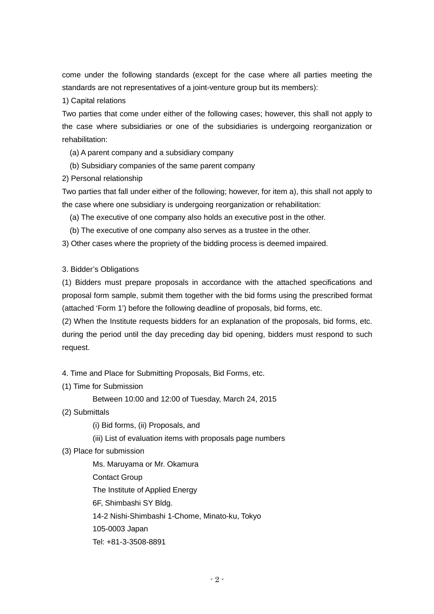come under the following standards (except for the case where all parties meeting the standards are not representatives of a joint-venture group but its members):

### 1) Capital relations

Two parties that come under either of the following cases; however, this shall not apply to the case where subsidiaries or one of the subsidiaries is undergoing reorganization or rehabilitation:

- (a) A parent company and a subsidiary company
- (b) Subsidiary companies of the same parent company

2) Personal relationship

Two parties that fall under either of the following; however, for item a), this shall not apply to the case where one subsidiary is undergoing reorganization or rehabilitation:

- (a) The executive of one company also holds an executive post in the other.
- (b) The executive of one company also serves as a trustee in the other.

3) Other cases where the propriety of the bidding process is deemed impaired.

3. Bidder's Obligations

(1) Bidders must prepare proposals in accordance with the attached specifications and proposal form sample, submit them together with the bid forms using the prescribed format (attached 'Form 1') before the following deadline of proposals, bid forms, etc.

(2) When the Institute requests bidders for an explanation of the proposals, bid forms, etc. during the period until the day preceding day bid opening, bidders must respond to such request.

4. Time and Place for Submitting Proposals, Bid Forms, etc.

(1) Time for Submission

Between 10:00 and 12:00 of Tuesday, March 24, 2015

- (2) Submittals
	- (i) Bid forms, (ii) Proposals, and
	- (iii) List of evaluation items with proposals page numbers
- (3) Place for submission

Ms. Maruyama or Mr. Okamura Contact Group The Institute of Applied Energy 6F, Shimbashi SY Bldg. 14-2 Nishi-Shimbashi 1-Chome, Minato-ku, Tokyo 105-0003 Japan Tel: +81-3-3508-8891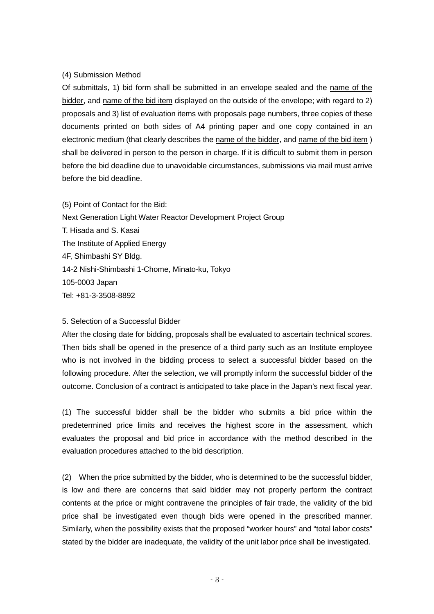### (4) Submission Method

Of submittals, 1) bid form shall be submitted in an envelope sealed and the name of the bidder, and name of the bid item displayed on the outside of the envelope; with regard to 2) proposals and 3) list of evaluation items with proposals page numbers, three copies of these documents printed on both sides of A4 printing paper and one copy contained in an electronic medium (that clearly describes the name of the bidder, and name of the bid item) shall be delivered in person to the person in charge. If it is difficult to submit them in person before the bid deadline due to unavoidable circumstances, submissions via mail must arrive before the bid deadline.

(5) Point of Contact for the Bid: Next Generation Light Water Reactor Development Project Group T. Hisada and S. Kasai The Institute of Applied Energy 4F, Shimbashi SY Bldg. 14-2 Nishi-Shimbashi 1-Chome, Minato-ku, Tokyo 105-0003 Japan Tel: +81-3-3508-8892

#### 5. Selection of a Successful Bidder

After the closing date for bidding, proposals shall be evaluated to ascertain technical scores. Then bids shall be opened in the presence of a third party such as an Institute employee who is not involved in the bidding process to select a successful bidder based on the following procedure. After the selection, we will promptly inform the successful bidder of the outcome. Conclusion of a contract is anticipated to take place in the Japan's next fiscal year.

(1) The successful bidder shall be the bidder who submits a bid price within the predetermined price limits and receives the highest score in the assessment, which evaluates the proposal and bid price in accordance with the method described in the evaluation procedures attached to the bid description.

(2) When the price submitted by the bidder, who is determined to be the successful bidder, is low and there are concerns that said bidder may not properly perform the contract contents at the price or might contravene the principles of fair trade, the validity of the bid price shall be investigated even though bids were opened in the prescribed manner. Similarly, when the possibility exists that the proposed "worker hours" and "total labor costs" stated by the bidder are inadequate, the validity of the unit labor price shall be investigated.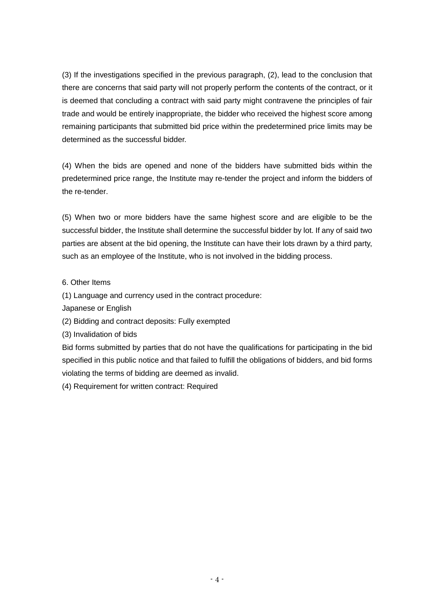(3) If the investigations specified in the previous paragraph, (2), lead to the conclusion that there are concerns that said party will not properly perform the contents of the contract, or it is deemed that concluding a contract with said party might contravene the principles of fair trade and would be entirely inappropriate, the bidder who received the highest score among remaining participants that submitted bid price within the predetermined price limits may be determined as the successful bidder.

(4) When the bids are opened and none of the bidders have submitted bids within the predetermined price range, the Institute may re-tender the project and inform the bidders of the re-tender.

(5) When two or more bidders have the same highest score and are eligible to be the successful bidder, the Institute shall determine the successful bidder by lot. If any of said two parties are absent at the bid opening, the Institute can have their lots drawn by a third party, such as an employee of the Institute, who is not involved in the bidding process.

## 6. Other Items

(1) Language and currency used in the contract procedure:

Japanese or English

(2) Bidding and contract deposits: Fully exempted

(3) Invalidation of bids

Bid forms submitted by parties that do not have the qualifications for participating in the bid specified in this public notice and that failed to fulfill the obligations of bidders, and bid forms violating the terms of bidding are deemed as invalid.

(4) Requirement for written contract: Required